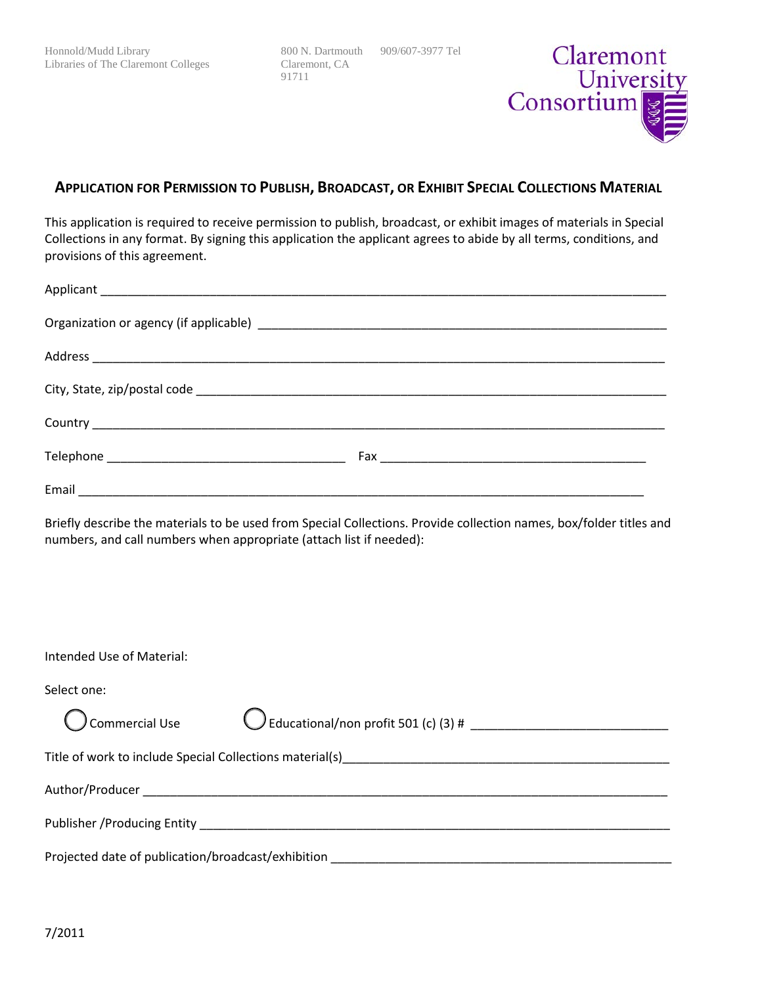800 N. Dartmouth 909/607-3977 Tel Claremont, CA 91711



## **APPLICATION FOR PERMISSION TO PUBLISH, BROADCAST, OR EXHIBIT SPECIAL COLLECTIONS MATERIAL**

This application is required to receive permission to publish, broadcast, or exhibit images of materials in Special Collections in any format. By signing this application the applicant agrees to abide by all terms, conditions, and provisions of this agreement.

Briefly describe the materials to be used from Special Collections. Provide collection names, box/folder titles and numbers, and call numbers when appropriate (attach list if needed):

| Intended Use of Material:                                                                                                                                                                                                      |  |  |  |
|--------------------------------------------------------------------------------------------------------------------------------------------------------------------------------------------------------------------------------|--|--|--|
|                                                                                                                                                                                                                                |  |  |  |
| Select one:                                                                                                                                                                                                                    |  |  |  |
| Commercial Use                                                                                                                                                                                                                 |  |  |  |
| Title of work to include Special Collections material(s) example and all control of the control of the control of the control of the control of the control of the control of the control of the control of the control of the |  |  |  |
|                                                                                                                                                                                                                                |  |  |  |
|                                                                                                                                                                                                                                |  |  |  |
| Projected date of publication/broadcast/exhibition _____________________________                                                                                                                                               |  |  |  |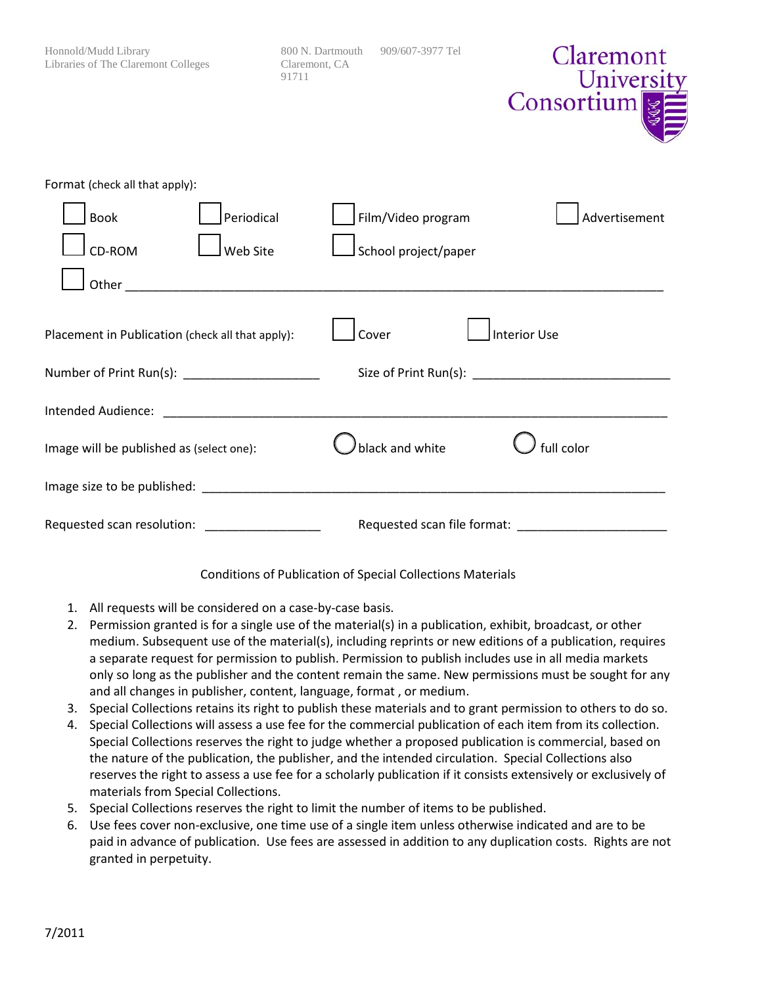| Honnold/Mudd Library<br>Libraries of The Claremont Colleges                                                     | 800 N. Dartmouth<br>Claremont, CA<br>91711 | 909/607-3977 Tel            | Claremont<br>University<br>Consortium <sup></sup> 图 |
|-----------------------------------------------------------------------------------------------------------------|--------------------------------------------|-----------------------------|-----------------------------------------------------|
| Format (check all that apply):                                                                                  |                                            |                             |                                                     |
| Periodical<br><b>Book</b>                                                                                       |                                            | Film/Video program          | Advertisement                                       |
| CD-ROM<br>Web Site                                                                                              |                                            | School project/paper        |                                                     |
| Other                                                                                                           |                                            |                             |                                                     |
| Placement in Publication (check all that apply):                                                                |                                            | Cover                       | <b>Interior Use</b>                                 |
| Number of Print Run(s): _______________________                                                                 |                                            |                             |                                                     |
|                                                                                                                 |                                            |                             |                                                     |
| Image will be published as (select one):                                                                        |                                            | black and white             | full color                                          |
| Image size to be published: example and a series of the series of the series of the series of the series of the |                                            |                             |                                                     |
| Requested scan resolution:                                                                                      |                                            | Requested scan file format: |                                                     |

## Conditions of Publication of Special Collections Materials

- 1. All requests will be considered on a case-by-case basis.
- 2. Permission granted is for a single use of the material(s) in a publication, exhibit, broadcast, or other medium. Subsequent use of the material(s), including reprints or new editions of a publication, requires a separate request for permission to publish. Permission to publish includes use in all media markets only so long as the publisher and the content remain the same. New permissions must be sought for any and all changes in publisher, content, language, format , or medium.
- 3. Special Collections retains its right to publish these materials and to grant permission to others to do so.
- 4. Special Collections will assess a use fee for the commercial publication of each item from its collection. Special Collections reserves the right to judge whether a proposed publication is commercial, based on the nature of the publication, the publisher, and the intended circulation. Special Collections also reserves the right to assess a use fee for a scholarly publication if it consists extensively or exclusively of materials from Special Collections.
- 5. Special Collections reserves the right to limit the number of items to be published.
- 6. Use fees cover non-exclusive, one time use of a single item unless otherwise indicated and are to be paid in advance of publication. Use fees are assessed in addition to any duplication costs. Rights are not granted in perpetuity.